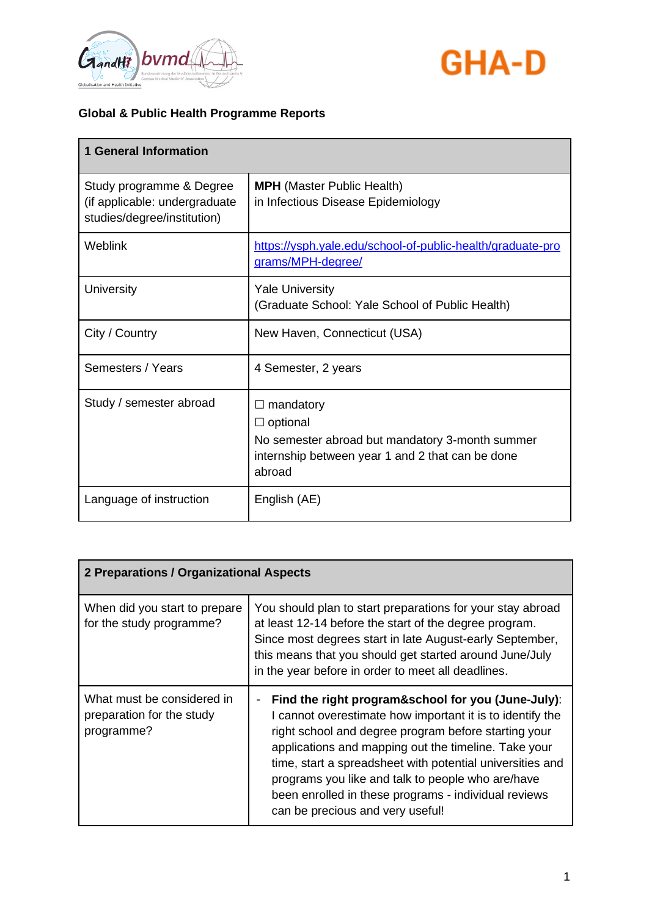



| <b>1 General Information</b>                                                             |                                                                                                                                                         |
|------------------------------------------------------------------------------------------|---------------------------------------------------------------------------------------------------------------------------------------------------------|
| Study programme & Degree<br>(if applicable: undergraduate<br>studies/degree/institution) | <b>MPH</b> (Master Public Health)<br>in Infectious Disease Epidemiology                                                                                 |
| <b>Weblink</b>                                                                           | https://ysph.yale.edu/school-of-public-health/graduate-pro<br>grams/MPH-degree/                                                                         |
| University                                                                               | <b>Yale University</b><br>(Graduate School: Yale School of Public Health)                                                                               |
| City / Country                                                                           | New Haven, Connecticut (USA)                                                                                                                            |
| Semesters / Years                                                                        | 4 Semester, 2 years                                                                                                                                     |
| Study / semester abroad                                                                  | mandatory<br>$\Box$<br>$\Box$ optional<br>No semester abroad but mandatory 3-month summer<br>internship between year 1 and 2 that can be done<br>abroad |
| Language of instruction                                                                  | English (AE)                                                                                                                                            |

| 2 Preparations / Organizational Aspects                               |                                                                                                                                                                                                                                                                                                                                                                                                                                               |  |
|-----------------------------------------------------------------------|-----------------------------------------------------------------------------------------------------------------------------------------------------------------------------------------------------------------------------------------------------------------------------------------------------------------------------------------------------------------------------------------------------------------------------------------------|--|
| When did you start to prepare<br>for the study programme?             | You should plan to start preparations for your stay abroad<br>at least 12-14 before the start of the degree program.<br>Since most degrees start in late August-early September,<br>this means that you should get started around June/July<br>in the year before in order to meet all deadlines.                                                                                                                                             |  |
| What must be considered in<br>preparation for the study<br>programme? | Find the right program&school for you (June-July):<br>I cannot overestimate how important it is to identify the<br>right school and degree program before starting your<br>applications and mapping out the timeline. Take your<br>time, start a spreadsheet with potential universities and<br>programs you like and talk to people who are/have<br>been enrolled in these programs - individual reviews<br>can be precious and very useful! |  |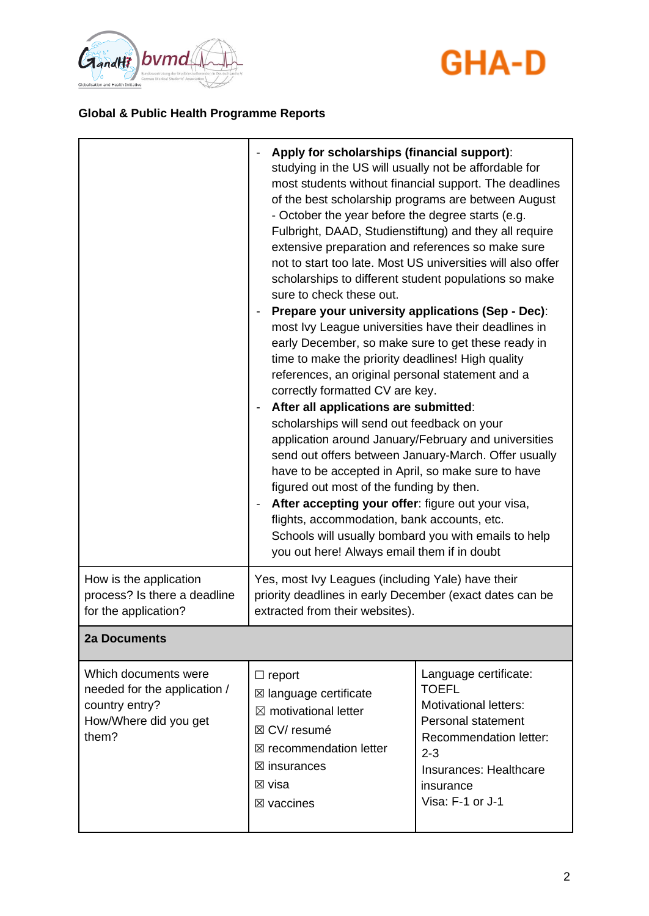



|                                                                                                          | Apply for scholarships (financial support):<br>$\qquad \qquad \blacksquare$<br>studying in the US will usually not be affordable for<br>of the best scholarship programs are between August<br>- October the year before the degree starts (e.g.<br>Fulbright, DAAD, Studienstiftung) and they all require<br>extensive preparation and references so make sure<br>scholarships to different student populations so make<br>sure to check these out.<br>Prepare your university applications (Sep - Dec):<br>$\qquad \qquad \blacksquare$<br>most Ivy League universities have their deadlines in<br>early December, so make sure to get these ready in<br>time to make the priority deadlines! High quality<br>references, an original personal statement and a<br>correctly formatted CV are key.<br>After all applications are submitted:<br>-<br>scholarships will send out feedback on your<br>application around January/February and universities<br>send out offers between January-March. Offer usually<br>have to be accepted in April, so make sure to have<br>figured out most of the funding by then.<br>After accepting your offer: figure out your visa,<br>$\qquad \qquad \blacksquare$<br>flights, accommodation, bank accounts, etc.<br>Schools will usually bombard you with emails to help<br>you out here! Always email them if in doubt | most students without financial support. The deadlines<br>not to start too late. Most US universities will also offer                                                                              |
|----------------------------------------------------------------------------------------------------------|---------------------------------------------------------------------------------------------------------------------------------------------------------------------------------------------------------------------------------------------------------------------------------------------------------------------------------------------------------------------------------------------------------------------------------------------------------------------------------------------------------------------------------------------------------------------------------------------------------------------------------------------------------------------------------------------------------------------------------------------------------------------------------------------------------------------------------------------------------------------------------------------------------------------------------------------------------------------------------------------------------------------------------------------------------------------------------------------------------------------------------------------------------------------------------------------------------------------------------------------------------------------------------------------------------------------------------------------------------------|----------------------------------------------------------------------------------------------------------------------------------------------------------------------------------------------------|
| How is the application<br>process? Is there a deadline<br>for the application?                           | Yes, most Ivy Leagues (including Yale) have their<br>priority deadlines in early December (exact dates can be<br>extracted from their websites).                                                                                                                                                                                                                                                                                                                                                                                                                                                                                                                                                                                                                                                                                                                                                                                                                                                                                                                                                                                                                                                                                                                                                                                                              |                                                                                                                                                                                                    |
| <b>2a Documents</b>                                                                                      |                                                                                                                                                                                                                                                                                                                                                                                                                                                                                                                                                                                                                                                                                                                                                                                                                                                                                                                                                                                                                                                                                                                                                                                                                                                                                                                                                               |                                                                                                                                                                                                    |
| Which documents were<br>needed for the application /<br>country entry?<br>How/Where did you get<br>them? | $\Box$ report<br>⊠ language certificate<br>$\boxtimes$ motivational letter<br>⊠ CV/ resumé<br>$\boxtimes$ recommendation letter<br>$\boxtimes$ insurances<br>⊠ visa<br>$\boxtimes$ vaccines                                                                                                                                                                                                                                                                                                                                                                                                                                                                                                                                                                                                                                                                                                                                                                                                                                                                                                                                                                                                                                                                                                                                                                   | Language certificate:<br><b>TOEFL</b><br><b>Motivational letters:</b><br>Personal statement<br><b>Recommendation letter:</b><br>$2 - 3$<br>Insurances: Healthcare<br>insurance<br>Visa: F-1 or J-1 |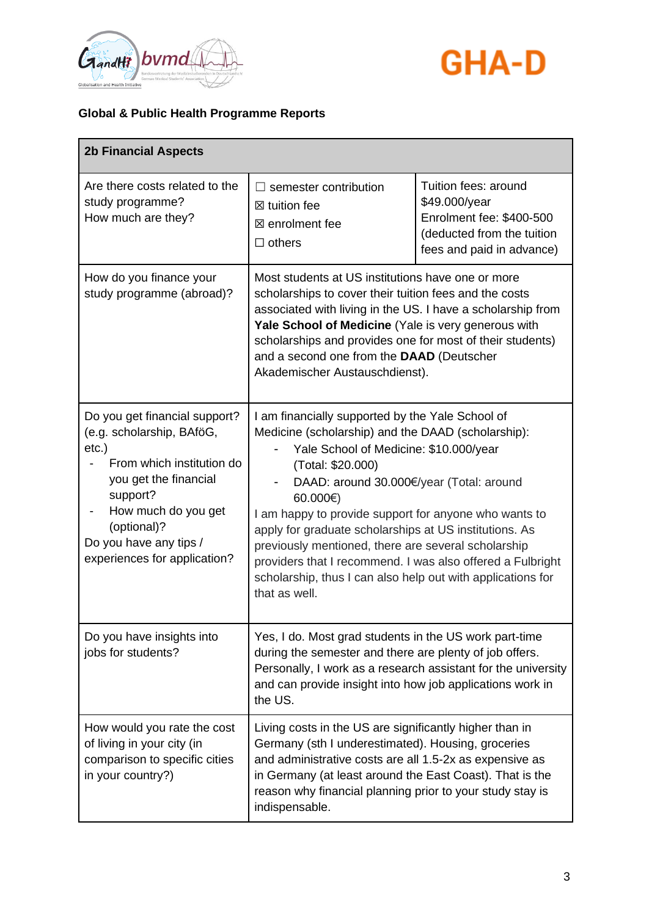



| <b>2b Financial Aspects</b>                                                                                                                                                                                                           |                                                                                                                                                                                                                                                                                                                                                                                                                                                                                                                                                              |                                                                                                                              |
|---------------------------------------------------------------------------------------------------------------------------------------------------------------------------------------------------------------------------------------|--------------------------------------------------------------------------------------------------------------------------------------------------------------------------------------------------------------------------------------------------------------------------------------------------------------------------------------------------------------------------------------------------------------------------------------------------------------------------------------------------------------------------------------------------------------|------------------------------------------------------------------------------------------------------------------------------|
| Are there costs related to the<br>study programme?<br>How much are they?                                                                                                                                                              | semester contribution<br>$\mathsf{L}$<br>$\boxtimes$ tuition fee<br>$\boxtimes$ enrolment fee<br>$\Box$ others                                                                                                                                                                                                                                                                                                                                                                                                                                               | Tuition fees: around<br>\$49.000/year<br>Enrolment fee: \$400-500<br>(deducted from the tuition<br>fees and paid in advance) |
| How do you finance your<br>study programme (abroad)?                                                                                                                                                                                  | Most students at US institutions have one or more<br>scholarships to cover their tuition fees and the costs<br>associated with living in the US. I have a scholarship from<br>Yale School of Medicine (Yale is very generous with<br>scholarships and provides one for most of their students)<br>and a second one from the DAAD (Deutscher<br>Akademischer Austauschdienst).                                                                                                                                                                                |                                                                                                                              |
| Do you get financial support?<br>(e.g. scholarship, BAföG,<br>etc.)<br>From which institution do<br>you get the financial<br>support?<br>How much do you get<br>(optional)?<br>Do you have any tips /<br>experiences for application? | I am financially supported by the Yale School of<br>Medicine (scholarship) and the DAAD (scholarship):<br>Yale School of Medicine: \$10.000/year<br>(Total: \$20.000)<br>DAAD: around 30.000€/year (Total: around<br>$60.000 \infty$<br>I am happy to provide support for anyone who wants to<br>apply for graduate scholarships at US institutions. As<br>previously mentioned, there are several scholarship<br>providers that I recommend. I was also offered a Fulbright<br>scholarship, thus I can also help out with applications for<br>that as well. |                                                                                                                              |
| Do you have insights into<br>jobs for students?                                                                                                                                                                                       | Yes, I do. Most grad students in the US work part-time<br>during the semester and there are plenty of job offers.<br>Personally, I work as a research assistant for the university<br>and can provide insight into how job applications work in<br>the US.                                                                                                                                                                                                                                                                                                   |                                                                                                                              |
| How would you rate the cost<br>of living in your city (in<br>comparison to specific cities<br>in your country?)                                                                                                                       | Living costs in the US are significantly higher than in<br>Germany (sth I underestimated). Housing, groceries<br>and administrative costs are all 1.5-2x as expensive as<br>in Germany (at least around the East Coast). That is the<br>reason why financial planning prior to your study stay is<br>indispensable.                                                                                                                                                                                                                                          |                                                                                                                              |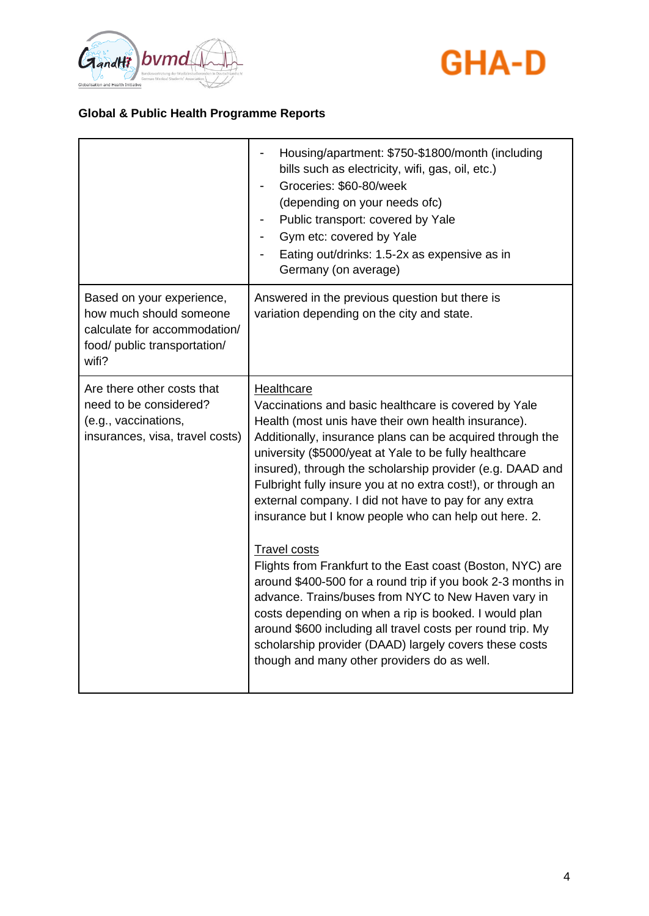



|                                                                                                                               | Housing/apartment: \$750-\$1800/month (including<br>bills such as electricity, wifi, gas, oil, etc.)<br>Groceries: \$60-80/week<br>(depending on your needs ofc)<br>Public transport: covered by Yale<br>Gym etc: covered by Yale<br>Eating out/drinks: 1.5-2x as expensive as in<br>Germany (on average)                                                                                                                                                                                                                                                                                                                                                                                                                                                                                                                                                                                                                                         |
|-------------------------------------------------------------------------------------------------------------------------------|---------------------------------------------------------------------------------------------------------------------------------------------------------------------------------------------------------------------------------------------------------------------------------------------------------------------------------------------------------------------------------------------------------------------------------------------------------------------------------------------------------------------------------------------------------------------------------------------------------------------------------------------------------------------------------------------------------------------------------------------------------------------------------------------------------------------------------------------------------------------------------------------------------------------------------------------------|
| Based on your experience,<br>how much should someone<br>calculate for accommodation/<br>food/ public transportation/<br>wifi? | Answered in the previous question but there is<br>variation depending on the city and state.                                                                                                                                                                                                                                                                                                                                                                                                                                                                                                                                                                                                                                                                                                                                                                                                                                                      |
| Are there other costs that<br>need to be considered?<br>(e.g., vaccinations,<br>insurances, visa, travel costs)               | <b>Healthcare</b><br>Vaccinations and basic healthcare is covered by Yale<br>Health (most unis have their own health insurance).<br>Additionally, insurance plans can be acquired through the<br>university (\$5000/yeat at Yale to be fully healthcare<br>insured), through the scholarship provider (e.g. DAAD and<br>Fulbright fully insure you at no extra cost!), or through an<br>external company. I did not have to pay for any extra<br>insurance but I know people who can help out here. 2.<br><b>Travel costs</b><br>Flights from Frankfurt to the East coast (Boston, NYC) are<br>around \$400-500 for a round trip if you book 2-3 months in<br>advance. Trains/buses from NYC to New Haven vary in<br>costs depending on when a rip is booked. I would plan<br>around \$600 including all travel costs per round trip. My<br>scholarship provider (DAAD) largely covers these costs<br>though and many other providers do as well. |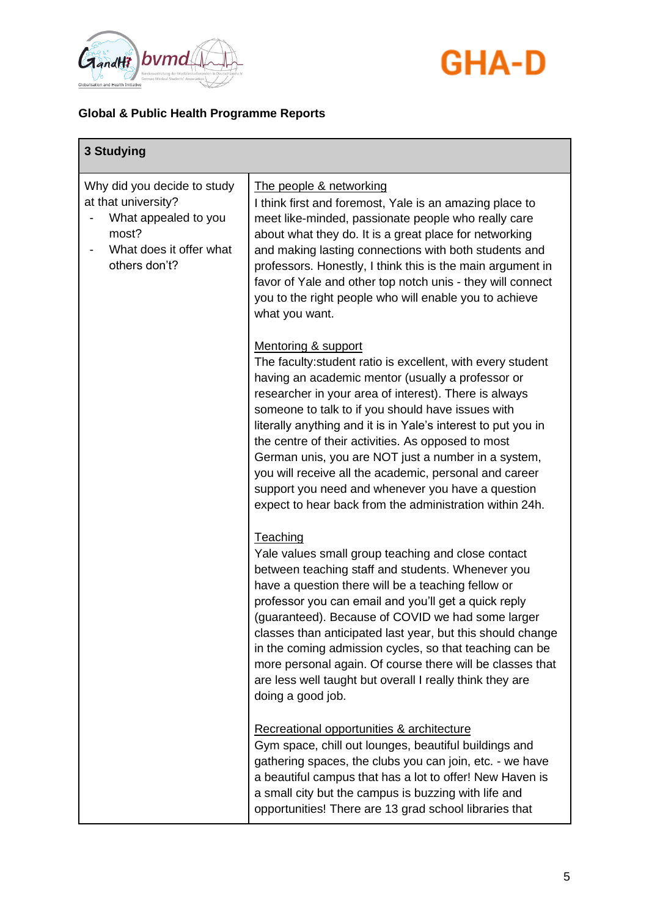

# **GHA-D**

| 3 Studying                                                                                                                      |                                                                                                                                                                                                                                                                                                                                                                                                                                                                                                                                                                                                               |
|---------------------------------------------------------------------------------------------------------------------------------|---------------------------------------------------------------------------------------------------------------------------------------------------------------------------------------------------------------------------------------------------------------------------------------------------------------------------------------------------------------------------------------------------------------------------------------------------------------------------------------------------------------------------------------------------------------------------------------------------------------|
| Why did you decide to study<br>at that university?<br>What appealed to you<br>most?<br>What does it offer what<br>others don't? | The people & networking<br>I think first and foremost, Yale is an amazing place to<br>meet like-minded, passionate people who really care<br>about what they do. It is a great place for networking<br>and making lasting connections with both students and<br>professors. Honestly, I think this is the main argument in<br>favor of Yale and other top notch unis - they will connect<br>you to the right people who will enable you to achieve<br>what you want.                                                                                                                                          |
|                                                                                                                                 | Mentoring & support<br>The faculty: student ratio is excellent, with every student<br>having an academic mentor (usually a professor or<br>researcher in your area of interest). There is always<br>someone to talk to if you should have issues with<br>literally anything and it is in Yale's interest to put you in<br>the centre of their activities. As opposed to most<br>German unis, you are NOT just a number in a system,<br>you will receive all the academic, personal and career<br>support you need and whenever you have a question<br>expect to hear back from the administration within 24h. |
|                                                                                                                                 | <b>Teaching</b><br>Yale values small group teaching and close contact<br>between teaching staff and students. Whenever you<br>have a question there will be a teaching fellow or<br>professor you can email and you'll get a quick reply<br>(guaranteed). Because of COVID we had some larger<br>classes than anticipated last year, but this should change<br>in the coming admission cycles, so that teaching can be<br>more personal again. Of course there will be classes that<br>are less well taught but overall I really think they are<br>doing a good job.                                          |
|                                                                                                                                 | Recreational opportunities & architecture<br>Gym space, chill out lounges, beautiful buildings and<br>gathering spaces, the clubs you can join, etc. - we have<br>a beautiful campus that has a lot to offer! New Haven is<br>a small city but the campus is buzzing with life and<br>opportunities! There are 13 grad school libraries that                                                                                                                                                                                                                                                                  |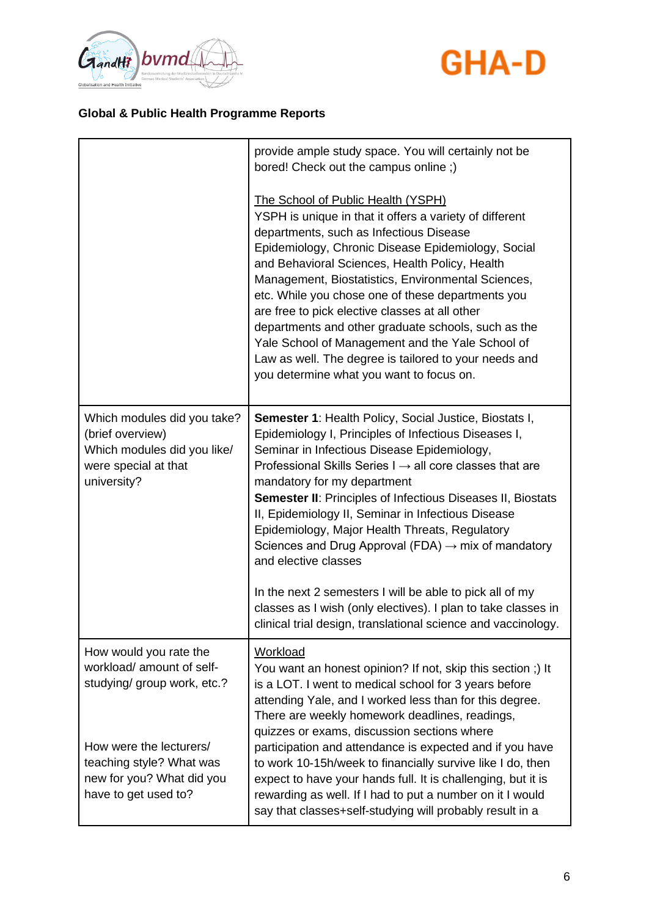



|                                                                                                                       | provide ample study space. You will certainly not be<br>bored! Check out the campus online;)                                                                                                                                                                                                                                                                                                                                                                                                                                                                                                                                         |
|-----------------------------------------------------------------------------------------------------------------------|--------------------------------------------------------------------------------------------------------------------------------------------------------------------------------------------------------------------------------------------------------------------------------------------------------------------------------------------------------------------------------------------------------------------------------------------------------------------------------------------------------------------------------------------------------------------------------------------------------------------------------------|
|                                                                                                                       | <b>The School of Public Health (YSPH)</b><br>YSPH is unique in that it offers a variety of different<br>departments, such as Infectious Disease<br>Epidemiology, Chronic Disease Epidemiology, Social<br>and Behavioral Sciences, Health Policy, Health<br>Management, Biostatistics, Environmental Sciences,<br>etc. While you chose one of these departments you<br>are free to pick elective classes at all other<br>departments and other graduate schools, such as the<br>Yale School of Management and the Yale School of<br>Law as well. The degree is tailored to your needs and<br>you determine what you want to focus on. |
| Which modules did you take?<br>(brief overview)<br>Which modules did you like/<br>were special at that<br>university? | Semester 1: Health Policy, Social Justice, Biostats I,<br>Epidemiology I, Principles of Infectious Diseases I,<br>Seminar in Infectious Disease Epidemiology,<br>Professional Skills Series $I \rightarrow \text{all}$ core classes that are<br>mandatory for my department<br><b>Semester II: Principles of Infectious Diseases II, Biostats</b><br>II, Epidemiology II, Seminar in Infectious Disease<br>Epidemiology, Major Health Threats, Regulatory<br>Sciences and Drug Approval (FDA) $\rightarrow$ mix of mandatory<br>and elective classes                                                                                 |
|                                                                                                                       | In the next 2 semesters I will be able to pick all of my<br>classes as I wish (only electives). I plan to take classes in<br>clinical trial design, translational science and vaccinology.                                                                                                                                                                                                                                                                                                                                                                                                                                           |
| How would you rate the<br>workload/ amount of self-<br>studying/ group work, etc.?                                    | Workload<br>You want an honest opinion? If not, skip this section;) It<br>is a LOT. I went to medical school for 3 years before<br>attending Yale, and I worked less than for this degree.<br>There are weekly homework deadlines, readings,<br>quizzes or exams, discussion sections where                                                                                                                                                                                                                                                                                                                                          |
| How were the lecturers/<br>teaching style? What was<br>new for you? What did you<br>have to get used to?              | participation and attendance is expected and if you have<br>to work 10-15h/week to financially survive like I do, then<br>expect to have your hands full. It is challenging, but it is<br>rewarding as well. If I had to put a number on it I would<br>say that classes+self-studying will probably result in a                                                                                                                                                                                                                                                                                                                      |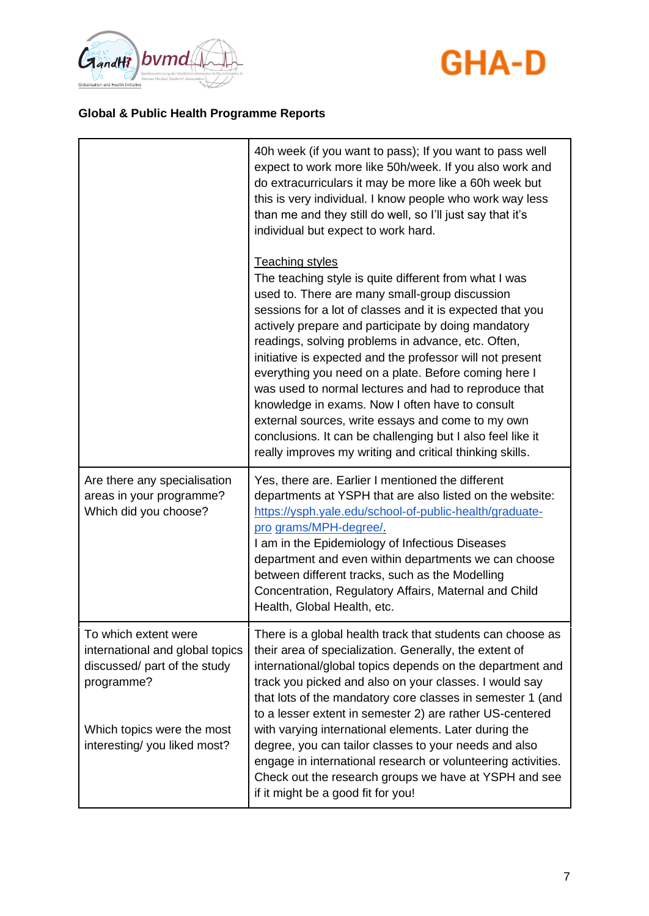



|                                                                                                                                                                    | 40h week (if you want to pass); If you want to pass well<br>expect to work more like 50h/week. If you also work and<br>do extracurriculars it may be more like a 60h week but<br>this is very individual. I know people who work way less<br>than me and they still do well, so I'll just say that it's<br>individual but expect to work hard.                                                                                                                                                                                                                                                                                                                                                                              |
|--------------------------------------------------------------------------------------------------------------------------------------------------------------------|-----------------------------------------------------------------------------------------------------------------------------------------------------------------------------------------------------------------------------------------------------------------------------------------------------------------------------------------------------------------------------------------------------------------------------------------------------------------------------------------------------------------------------------------------------------------------------------------------------------------------------------------------------------------------------------------------------------------------------|
|                                                                                                                                                                    | <b>Teaching styles</b><br>The teaching style is quite different from what I was<br>used to. There are many small-group discussion<br>sessions for a lot of classes and it is expected that you<br>actively prepare and participate by doing mandatory<br>readings, solving problems in advance, etc. Often,<br>initiative is expected and the professor will not present<br>everything you need on a plate. Before coming here I<br>was used to normal lectures and had to reproduce that<br>knowledge in exams. Now I often have to consult<br>external sources, write essays and come to my own<br>conclusions. It can be challenging but I also feel like it<br>really improves my writing and critical thinking skills. |
| Are there any specialisation<br>areas in your programme?<br>Which did you choose?                                                                                  | Yes, there are. Earlier I mentioned the different<br>departments at YSPH that are also listed on the website:<br>https://ysph.yale.edu/school-of-public-health/graduate-<br>pro grams/MPH-degree/.<br>I am in the Epidemiology of Infectious Diseases<br>department and even within departments we can choose<br>between different tracks, such as the Modelling<br>Concentration, Regulatory Affairs, Maternal and Child<br>Health, Global Health, etc.                                                                                                                                                                                                                                                                    |
| To which extent were<br>international and global topics<br>discussed/ part of the study<br>programme?<br>Which topics were the most<br>interesting/you liked most? | There is a global health track that students can choose as<br>their area of specialization. Generally, the extent of<br>international/global topics depends on the department and<br>track you picked and also on your classes. I would say<br>that lots of the mandatory core classes in semester 1 (and<br>to a lesser extent in semester 2) are rather US-centered<br>with varying international elements. Later during the<br>degree, you can tailor classes to your needs and also<br>engage in international research or volunteering activities.<br>Check out the research groups we have at YSPH and see<br>if it might be a good fit for you!                                                                      |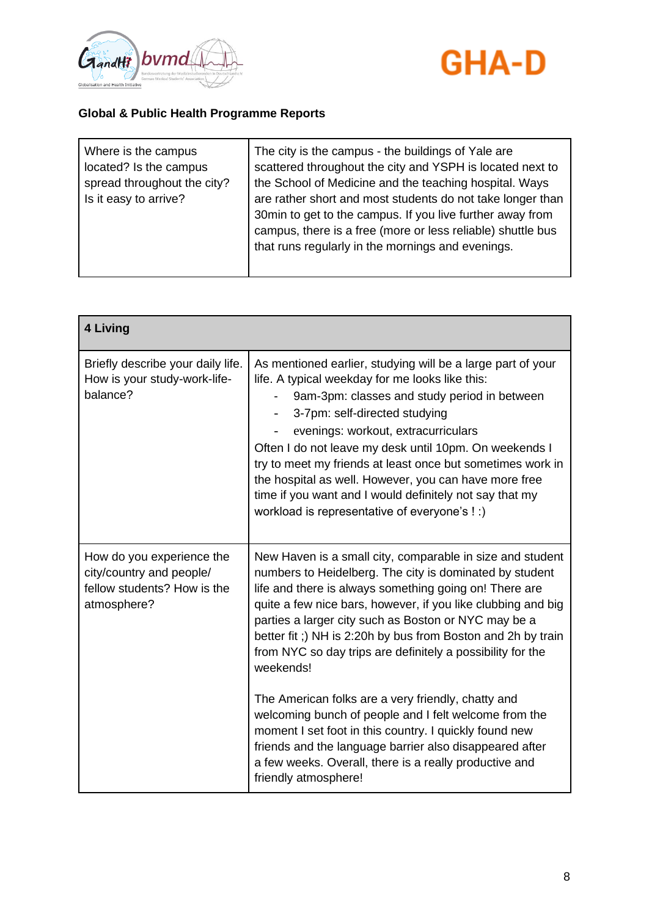



| Where is the campus<br>located? Is the campus<br>spread throughout the city?<br>Is it easy to arrive? | The city is the campus - the buildings of Yale are<br>scattered throughout the city and YSPH is located next to<br>the School of Medicine and the teaching hospital. Ways<br>are rather short and most students do not take longer than<br>30min to get to the campus. If you live further away from<br>campus, there is a free (more or less reliable) shuttle bus<br>that runs regularly in the mornings and evenings. |
|-------------------------------------------------------------------------------------------------------|--------------------------------------------------------------------------------------------------------------------------------------------------------------------------------------------------------------------------------------------------------------------------------------------------------------------------------------------------------------------------------------------------------------------------|
|-------------------------------------------------------------------------------------------------------|--------------------------------------------------------------------------------------------------------------------------------------------------------------------------------------------------------------------------------------------------------------------------------------------------------------------------------------------------------------------------------------------------------------------------|

| 4 Living                                                                                            |                                                                                                                                                                                                                                                                                                                                                                                                                                                                                                                                                                                                                                                                                                                                                                        |
|-----------------------------------------------------------------------------------------------------|------------------------------------------------------------------------------------------------------------------------------------------------------------------------------------------------------------------------------------------------------------------------------------------------------------------------------------------------------------------------------------------------------------------------------------------------------------------------------------------------------------------------------------------------------------------------------------------------------------------------------------------------------------------------------------------------------------------------------------------------------------------------|
| Briefly describe your daily life.<br>How is your study-work-life-<br>balance?                       | As mentioned earlier, studying will be a large part of your<br>life. A typical weekday for me looks like this:<br>9am-3pm: classes and study period in between<br>3-7pm: self-directed studying<br>evenings: workout, extracurriculars<br>Often I do not leave my desk until 10pm. On weekends I<br>try to meet my friends at least once but sometimes work in<br>the hospital as well. However, you can have more free<br>time if you want and I would definitely not say that my<br>workload is representative of everyone's ! :)                                                                                                                                                                                                                                    |
| How do you experience the<br>city/country and people/<br>fellow students? How is the<br>atmosphere? | New Haven is a small city, comparable in size and student<br>numbers to Heidelberg. The city is dominated by student<br>life and there is always something going on! There are<br>quite a few nice bars, however, if you like clubbing and big<br>parties a larger city such as Boston or NYC may be a<br>better fit;) NH is 2:20h by bus from Boston and 2h by train<br>from NYC so day trips are definitely a possibility for the<br>weekends!<br>The American folks are a very friendly, chatty and<br>welcoming bunch of people and I felt welcome from the<br>moment I set foot in this country. I quickly found new<br>friends and the language barrier also disappeared after<br>a few weeks. Overall, there is a really productive and<br>friendly atmosphere! |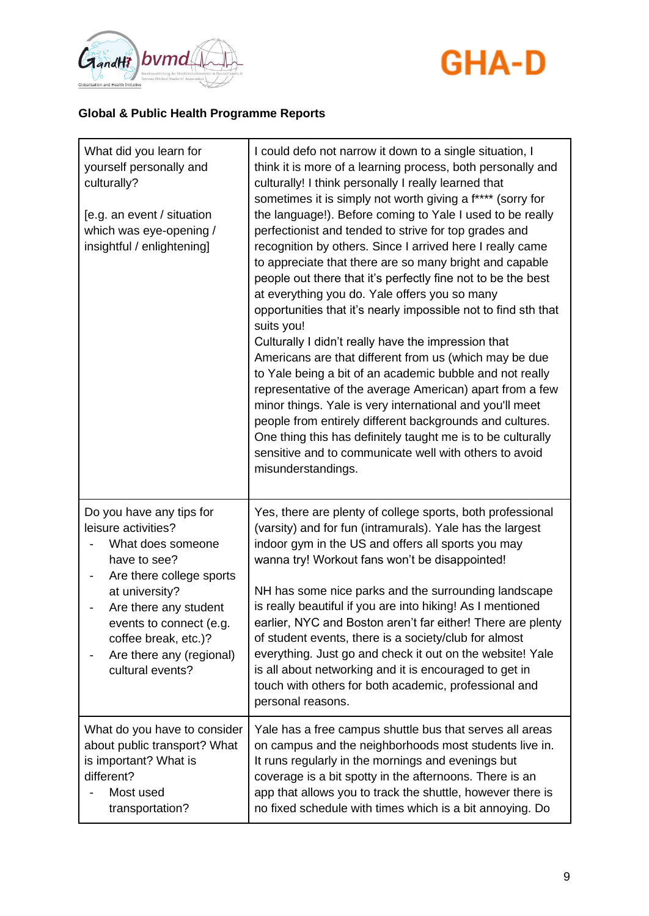



| What did you learn for<br>yourself personally and<br>culturally?<br>[e.g. an event / situation<br>which was eye-opening /<br>insightful / enlightening]                                                                                                        | I could defo not narrow it down to a single situation, I<br>think it is more of a learning process, both personally and<br>culturally! I think personally I really learned that<br>sometimes it is simply not worth giving a f**** (sorry for<br>the language!). Before coming to Yale I used to be really<br>perfectionist and tended to strive for top grades and<br>recognition by others. Since I arrived here I really came<br>to appreciate that there are so many bright and capable<br>people out there that it's perfectly fine not to be the best<br>at everything you do. Yale offers you so many<br>opportunities that it's nearly impossible not to find sth that<br>suits you!<br>Culturally I didn't really have the impression that<br>Americans are that different from us (which may be due<br>to Yale being a bit of an academic bubble and not really<br>representative of the average American) apart from a few<br>minor things. Yale is very international and you'll meet<br>people from entirely different backgrounds and cultures.<br>One thing this has definitely taught me is to be culturally<br>sensitive and to communicate well with others to avoid<br>misunderstandings. |
|----------------------------------------------------------------------------------------------------------------------------------------------------------------------------------------------------------------------------------------------------------------|--------------------------------------------------------------------------------------------------------------------------------------------------------------------------------------------------------------------------------------------------------------------------------------------------------------------------------------------------------------------------------------------------------------------------------------------------------------------------------------------------------------------------------------------------------------------------------------------------------------------------------------------------------------------------------------------------------------------------------------------------------------------------------------------------------------------------------------------------------------------------------------------------------------------------------------------------------------------------------------------------------------------------------------------------------------------------------------------------------------------------------------------------------------------------------------------------------------|
| Do you have any tips for<br>leisure activities?<br>What does someone<br>have to see?<br>Are there college sports<br>at university?<br>Are there any student<br>events to connect (e.g.<br>coffee break, etc.)?<br>Are there any (regional)<br>cultural events? | Yes, there are plenty of college sports, both professional<br>(varsity) and for fun (intramurals). Yale has the largest<br>indoor gym in the US and offers all sports you may<br>wanna try! Workout fans won't be disappointed!<br>NH has some nice parks and the surrounding landscape<br>is really beautiful if you are into hiking! As I mentioned<br>earlier, NYC and Boston aren't far either! There are plenty<br>of student events, there is a society/club for almost<br>everything. Just go and check it out on the website! Yale<br>is all about networking and it is encouraged to get in<br>touch with others for both academic, professional and<br>personal reasons.                                                                                                                                                                                                                                                                                                                                                                                                                                                                                                                           |
| What do you have to consider<br>about public transport? What<br>is important? What is<br>different?<br>Most used<br>transportation?                                                                                                                            | Yale has a free campus shuttle bus that serves all areas<br>on campus and the neighborhoods most students live in.<br>It runs regularly in the mornings and evenings but<br>coverage is a bit spotty in the afternoons. There is an<br>app that allows you to track the shuttle, however there is<br>no fixed schedule with times which is a bit annoying. Do                                                                                                                                                                                                                                                                                                                                                                                                                                                                                                                                                                                                                                                                                                                                                                                                                                                |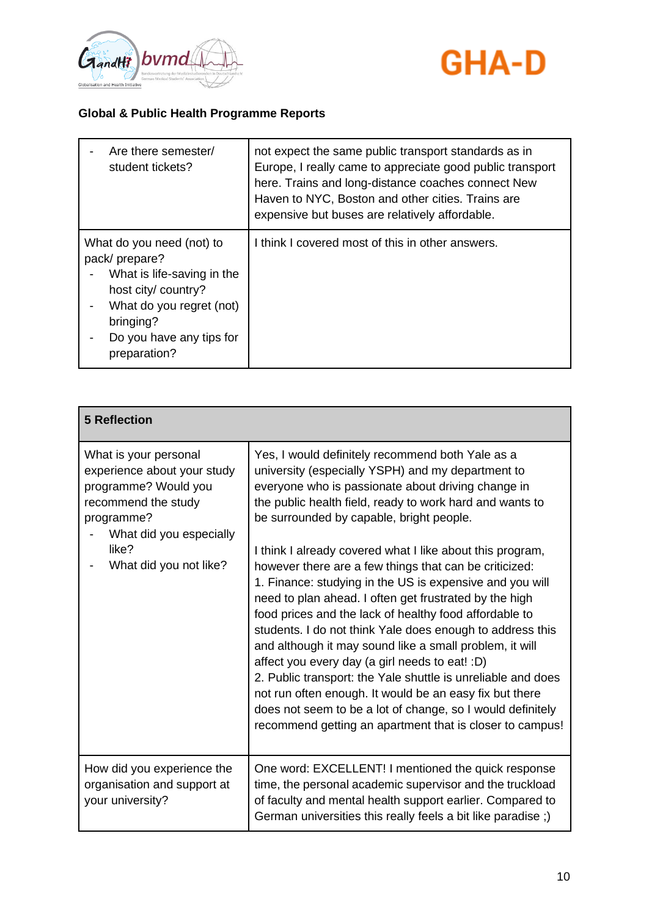



| Are there semester/<br>student tickets?                                                                                                                                              | not expect the same public transport standards as in<br>Europe, I really came to appreciate good public transport<br>here. Trains and long-distance coaches connect New<br>Haven to NYC, Boston and other cities. Trains are<br>expensive but buses are relatively affordable. |
|--------------------------------------------------------------------------------------------------------------------------------------------------------------------------------------|--------------------------------------------------------------------------------------------------------------------------------------------------------------------------------------------------------------------------------------------------------------------------------|
| What do you need (not) to<br>pack/prepare?<br>What is life-saving in the<br>host city/ country?<br>What do you regret (not)<br>bringing?<br>Do you have any tips for<br>preparation? | I think I covered most of this in other answers.                                                                                                                                                                                                                               |

| <b>5 Reflection</b>                                                                                                                                                             |                                                                                                                                                                                                                                                                                                                                                                                                                                                                                                                                                                                                                                                                                                                                                                                                                                                                                                                                                                                                            |
|---------------------------------------------------------------------------------------------------------------------------------------------------------------------------------|------------------------------------------------------------------------------------------------------------------------------------------------------------------------------------------------------------------------------------------------------------------------------------------------------------------------------------------------------------------------------------------------------------------------------------------------------------------------------------------------------------------------------------------------------------------------------------------------------------------------------------------------------------------------------------------------------------------------------------------------------------------------------------------------------------------------------------------------------------------------------------------------------------------------------------------------------------------------------------------------------------|
| What is your personal<br>experience about your study<br>programme? Would you<br>recommend the study<br>programme?<br>What did you especially<br>like?<br>What did you not like? | Yes, I would definitely recommend both Yale as a<br>university (especially YSPH) and my department to<br>everyone who is passionate about driving change in<br>the public health field, ready to work hard and wants to<br>be surrounded by capable, bright people.<br>I think I already covered what I like about this program,<br>however there are a few things that can be criticized:<br>1. Finance: studying in the US is expensive and you will<br>need to plan ahead. I often get frustrated by the high<br>food prices and the lack of healthy food affordable to<br>students. I do not think Yale does enough to address this<br>and although it may sound like a small problem, it will<br>affect you every day (a girl needs to eat! : D)<br>2. Public transport: the Yale shuttle is unreliable and does<br>not run often enough. It would be an easy fix but there<br>does not seem to be a lot of change, so I would definitely<br>recommend getting an apartment that is closer to campus! |
| How did you experience the<br>organisation and support at<br>your university?                                                                                                   | One word: EXCELLENT! I mentioned the quick response<br>time, the personal academic supervisor and the truckload<br>of faculty and mental health support earlier. Compared to<br>German universities this really feels a bit like paradise;)                                                                                                                                                                                                                                                                                                                                                                                                                                                                                                                                                                                                                                                                                                                                                                |